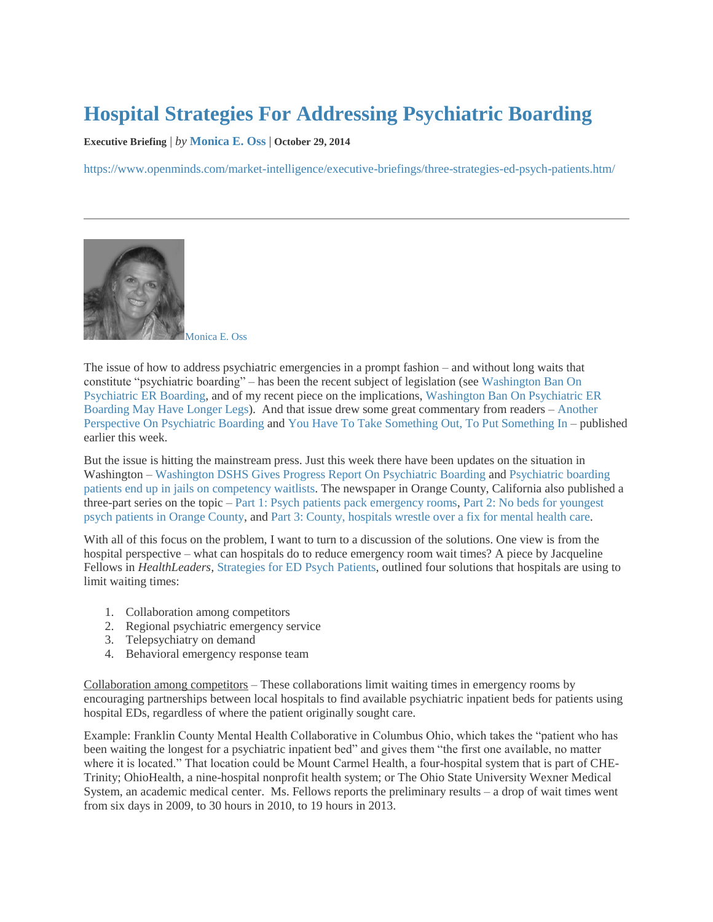## **[Hospital Strategies For Addressing Psychiatric Boarding](https://www.openminds.com/market-intelligence/executive-briefings/three-strategies-ed-psych-patients.htm/)**

**Executive Briefing** | *by* **[Monica E. Oss](https://www.openminds.com/author/monicaossopenminds-com/)** | **October 29, 2014**

<https://www.openminds.com/market-intelligence/executive-briefings/three-strategies-ed-psych-patients.htm/>



[Monica E. Oss](https://www.openminds.com/author/monicaossopenminds-com/)

The issue of how to address psychiatric emergencies in a prompt fashion – and without long waits that constitute "psychiatric boarding" – has been the recent subject of legislation (se[e Washington Ban On](http://www.openminds.com/market-intelligence/executive-briefings/future-er-holds-patients-psychiatric-problems.htm)  [Psychiatric ER Boarding,](http://www.openminds.com/market-intelligence/executive-briefings/future-er-holds-patients-psychiatric-problems.htm) and of my recent piece on the implications[, Washington Ban On Psychiatric ER](http://www.openminds.com/market-intelligence/executive-briefings/future-er-holds-patients-psychiatric-problems.htm)  [Boarding May Have Longer Legs\)](http://www.openminds.com/market-intelligence/executive-briefings/future-er-holds-patients-psychiatric-problems.htm). And that issue drew some great commentary from readers – [Another](http://www.openminds.com/market-intelligence/executive-briefings/another-perspective-psychiatric-boarding.htm)  [Perspective On Psychiatric Boarding](http://www.openminds.com/market-intelligence/executive-briefings/another-perspective-psychiatric-boarding.htm) and [You Have To Take Something Out, To Put Something In](http://www.openminds.com/market-intelligence/executive-briefings/take-something-put-something.htm) – published earlier this week.

But the issue is hitting the mainstream press. Just this week there have been updates on the situation in Washington – [Washington DSHS Gives Progress Report On Psychiatric Boarding](http://nwpr.org/post/washington-dshs-gives-progress-report-psychiatric-boarding) and [Psychiatric boarding](http://www.therepublic.com/view/story/532a371f38a64698aa08a5ce2f27c4d1/WA--Mentally-Ill-Broken-System)  [patients end up in jails on competency waitlists.](http://www.therepublic.com/view/story/532a371f38a64698aa08a5ce2f27c4d1/WA--Mentally-Ill-Broken-System) The newspaper in Orange County, California also published a three-part series on the topic – [Part 1: Psych patients pack emergency rooms,](http://www.ocregister.com/articles/psychiatric-639758-patients-emergency.html) [Part 2: No beds for youngest](http://www.ocregister.com/articles/says-639846-children-mental.html)  [psych patients in Orange County,](http://www.ocregister.com/articles/says-639846-children-mental.html) an[d Part 3: County, hospitals wrestle over a fix for mental health care.](http://www.ocregister.com/articles/county-639949-psychiatric-patients.html)

With all of this focus on the problem, I want to turn to a discussion of the solutions. One view is from the hospital perspective – what can hospitals do to reduce emergency room wait times? A piece by Jacqueline Fellows in *HealthLeaders,* [Strategies for ED Psych Patients,](http://www.healthleadersmedia.com/page-1/QUA-305181/Strategies-for-ED-Psych-Patients) outlined four solutions that hospitals are using to limit waiting times:

- 1. Collaboration among competitors
- 2. Regional psychiatric emergency service
- 3. Telepsychiatry on demand
- 4. Behavioral emergency response team

Collaboration among competitors – These collaborations limit waiting times in emergency rooms by encouraging partnerships between local hospitals to find available psychiatric inpatient beds for patients using hospital EDs, regardless of where the patient originally sought care.

Example: Franklin County Mental Health Collaborative in Columbus Ohio, which takes the "patient who has been waiting the longest for a psychiatric inpatient bed" and gives them "the first one available, no matter where it is located." That location could be Mount Carmel Health, a four-hospital system that is part of CHE-Trinity; OhioHealth, a nine-hospital nonprofit health system; or The Ohio State University Wexner Medical System, an academic medical center. Ms. Fellows reports the preliminary results – a drop of wait times went from six days in 2009, to 30 hours in 2010, to 19 hours in 2013.